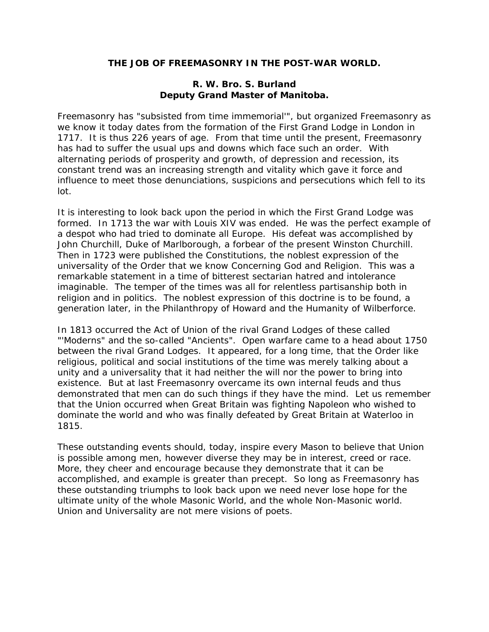# **THE JOB OF FREEMASONRY IN THE POST-WAR WORLD.**

## **R. W. Bro. S. Burland Deputy Grand Master of Manitoba.**

Freemasonry has "subsisted from time immemorial'", but organized Freemasonry as we know it today dates from the formation of the First Grand Lodge in London in 1717. It is thus 226 years of age. From that time until the present, Freemasonry has had to suffer the usual ups and downs which face such an order. With alternating periods of prosperity and growth, of depression and recession, its constant trend was an increasing strength and vitality which gave it force and influence to meet those denunciations, suspicions and persecutions which fell to its lot.

It is interesting to look back upon the period in which the First Grand Lodge was formed. In 1713 the war with Louis XIV was ended. He was the perfect example of a despot who had tried to dominate all Europe. His defeat was accomplished by John Churchill, Duke of Marlborough, a forbear of the present Winston Churchill. Then in 1723 were published the Constitutions, the noblest expression of the universality of the Order that we know Concerning God and Religion. This was a remarkable statement in a time of bitterest sectarian hatred and intolerance imaginable. The temper of the times was all for relentless partisanship both in religion and in politics. The noblest expression of this doctrine is to be found, a generation later, in the Philanthropy of Howard and the Humanity of Wilberforce.

In 1813 occurred the Act of Union of the rival Grand Lodges of these called "'Moderns" and the so-called "Ancients". Open warfare came to a head about 1750 between the rival Grand Lodges. It appeared, for a long time, that the Order like religious, political and social institutions of the time was merely talking about a unity and a universality that it had neither the will nor the power to bring into existence. But at last Freemasonry overcame its own internal feuds and thus demonstrated that men can do such things if they have the mind. Let us remember that the Union occurred when Great Britain was fighting Napoleon who wished to dominate the world and who was finally defeated by Great Britain at Waterloo in 1815.

These outstanding events should, today, inspire every Mason to believe that Union is possible among men, however diverse they may be in interest, creed or race. More, they cheer and encourage because they demonstrate that it can be accomplished, and example is greater than precept. So long as Freemasonry has these outstanding triumphs to look back upon we need never lose hope for the ultimate unity of the whole Masonic World, and the whole Non-Masonic world. Union and Universality are not mere visions of poets.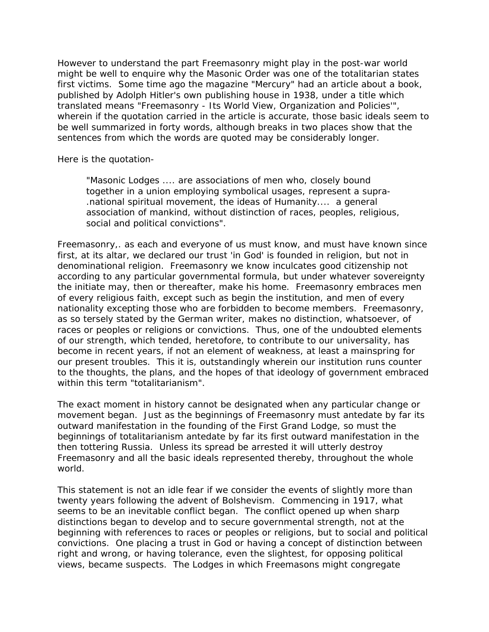However to understand the part Freemasonry might play in the post-war world might be well to enquire why the Masonic Order was one of the totalitarian states first victims. Some time ago the magazine "Mercury" had an article about a book, published by Adolph Hitler's own publishing house in 1938, under a title which translated means "Freemasonry - Its World View, Organization and Policies'", wherein if the quotation carried in the article is accurate, those basic ideals seem to be well summarized in forty words, although breaks in two places show that the sentences from which the words are quoted may be considerably longer.

Here is the quotation-

"Masonic Lodges .... are associations of men who, closely bound together in a union employing symbolical usages, represent a supra- .national spiritual movement, the ideas of Humanity.... a general association of mankind, without distinction of races, peoples, religious, social and political convictions".

Freemasonry,. as each and everyone of us must know, and must have known since first, at its altar, we declared our trust 'in God' is founded in religion, but not in denominational religion. Freemasonry we know inculcates good citizenship not according to any particular governmental formula, but under whatever sovereignty the initiate may, then or thereafter, make his home. Freemasonry embraces men of every religious faith, except such as begin the institution, and men of every nationality excepting those who are forbidden to become members. Freemasonry, as so tersely stated by the German writer, makes no distinction, whatsoever, of races or peoples or religions or convictions. Thus, one of the undoubted elements of our strength, which tended, heretofore, to contribute to our universality, has become in recent years, if not an element of weakness, at least a mainspring for our present troubles. This it is, outstandingly wherein our institution runs counter to the thoughts, the plans, and the hopes of that ideology of government embraced within this term "totalitarianism".

The exact moment in history cannot be designated when any particular change or movement began. Just as the beginnings of Freemasonry must antedate by far its outward manifestation in the founding of the First Grand Lodge, so must the beginnings of totalitarianism antedate by far its first outward manifestation in the then tottering Russia. Unless its spread be arrested it will utterly destroy Freemasonry and all the basic ideals represented thereby, throughout the whole world.

This statement is not an idle fear if we consider the events of slightly more than twenty years following the advent of Bolshevism. Commencing in 1917, what seems to be an inevitable conflict began. The conflict opened up when sharp distinctions began to develop and to secure governmental strength, not at the beginning with references to races or peoples or religions, but to social and political convictions. One placing a trust in God or having a concept of distinction between right and wrong, or having tolerance, even the slightest, for opposing political views, became suspects. The Lodges in which Freemasons might congregate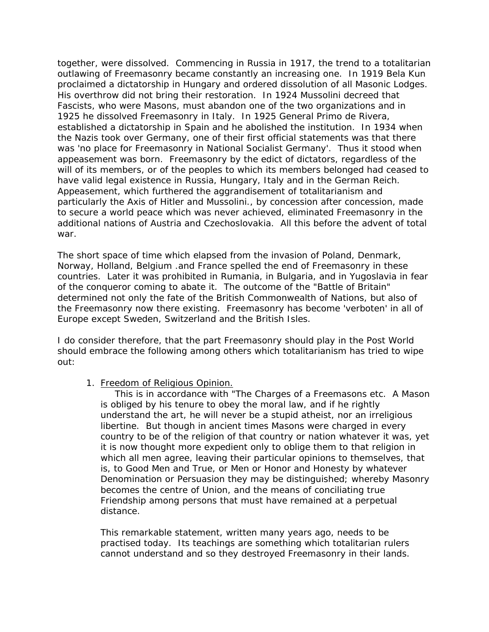together, were dissolved. Commencing in Russia in 1917, the trend to a totalitarian outlawing of Freemasonry became constantly an increasing one. In 1919 Bela Kun proclaimed a dictatorship in Hungary and ordered dissolution of all Masonic Lodges. His overthrow did not bring their restoration. In 1924 Mussolini decreed that Fascists, who were Masons, must abandon one of the two organizations and in 1925 he dissolved Freemasonry in Italy. In 1925 General Primo de Rivera, established a dictatorship in Spain and he abolished the institution. In 1934 when the Nazis took over Germany, one of their first official statements was that there was 'no place for Freemasonry in National Socialist Germany'. Thus it stood when appeasement was born. Freemasonry by the edict of dictators, regardless of the will of its members, or of the peoples to which its members belonged had ceased to have valid legal existence in Russia, Hungary, Italy and in the German Reich. Appeasement, which furthered the aggrandisement of totalitarianism and particularly the Axis of Hitler and Mussolini., by concession after concession, made to secure a world peace which was never achieved, eliminated Freemasonry in the additional nations of Austria and Czechoslovakia. All this before the advent of total war.

The short space of time which elapsed from the invasion of Poland, Denmark, Norway, Holland, Belgium .and France spelled the end of Freemasonry in these countries. Later it was prohibited in Rumania, in Bulgaria, and in Yugoslavia in fear of the conqueror coming to abate it. The outcome of the "Battle of Britain" determined not only the fate of the British Commonwealth of Nations, but also of the Freemasonry now there existing. Freemasonry has become 'verboten' in all of Europe except Sweden, Switzerland and the British Isles.

I do consider therefore, that the part Freemasonry should play in the Post World should embrace the following among others which totalitarianism has tried to wipe out:

1. Freedom of Religious Opinion.

 This is in accordance with "The Charges of a Freemasons etc. A Mason is obliged by his tenure to obey the moral law, and if he rightly understand the art, he will never be a stupid atheist, nor an irreligious libertine. But though in ancient times Masons were charged in every country to be of the religion of that country or nation whatever it was, yet it is now thought more expedient only to oblige them to that religion in which all men agree, leaving their particular opinions to themselves, that is, to Good Men and True, or Men or Honor and Honesty by whatever Denomination or Persuasion they may be distinguished; whereby Masonry becomes the centre of Union, and the means of conciliating true Friendship among persons that must have remained at a perpetual distance.

This remarkable statement, written many years ago, needs to be practised today. Its teachings are something which totalitarian rulers cannot understand and so they destroyed Freemasonry in their lands.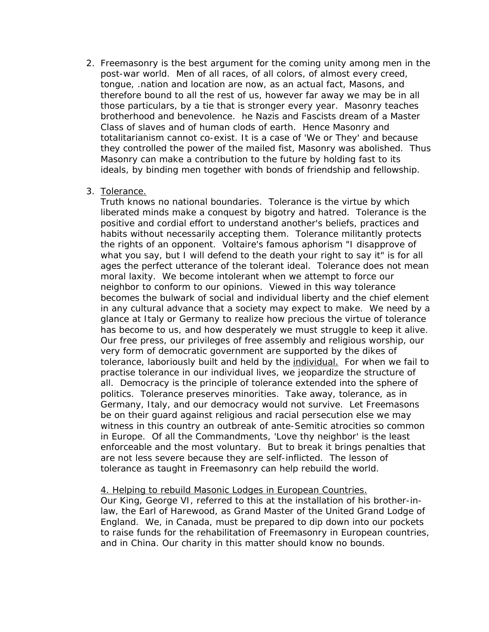- 2. Freemasonry is the best argument for the coming unity among men in the post-war world. Men of all races, of all colors, of almost every creed, tongue, .nation and location are now, as an actual fact, Masons, and therefore bound to all the rest of us, however far away we may be in all those particulars, by a tie that is stronger every year. Masonry teaches brotherhood and benevolence. he Nazis and Fascists dream of a Master Class of slaves and of human clods of earth. Hence Masonry and totalitarianism cannot co-exist. It is a case of 'We or They' and because they controlled the power of the mailed fist, Masonry was abolished. Thus Masonry can make a contribution to the future by holding fast to its ideals, by binding men together with bonds of friendship and fellowship.
- 3. Tolerance.

Truth knows no national boundaries. Tolerance is the virtue by which liberated minds make a conquest by bigotry and hatred. Tolerance is the positive and cordial effort to understand another's beliefs, practices and habits without necessarily accepting them. Tolerance militantly protects the rights of an opponent. Voltaire's famous aphorism "I disapprove of what you say, but I will defend to the death your right to say it" is for all ages the perfect utterance of the tolerant ideal. Tolerance does not mean moral laxity. We become intolerant when we attempt to force our neighbor to conform to our opinions. Viewed in this way tolerance becomes the bulwark of social and individual liberty and the chief element in any cultural advance that a society may expect to make. We need by a glance at Italy or Germany to realize how precious the virtue of tolerance has become to us, and how desperately we must struggle to keep it alive. Our free press, our privileges of free assembly and religious worship, our very form of democratic government are supported by the dikes of tolerance, laboriously built and held by the individual. For when we fail to practise tolerance in our individual lives, we jeopardize the structure of all. Democracy is the principle of tolerance extended into the sphere of politics. Tolerance preserves minorities. Take away, tolerance, as in Germany, Italy, and our democracy would not survive. Let Freemasons be on their guard against religious and racial persecution else we may witness in this country an outbreak of ante-Semitic atrocities so common in Europe. Of all the Commandments, 'Love thy neighbor' is the least enforceable and the most voluntary. But to break it brings penalties that are not less severe because they are self-inflicted. The lesson of tolerance as taught in Freemasonry can help rebuild the world.

## 4. Helping to rebuild Masonic Lodges in European Countries.

Our King, George VI, referred to this at the installation of his brother-inlaw, the Earl of Harewood, as Grand Master of the United Grand Lodge of England. We, in Canada, must be prepared to dip down into our pockets to raise funds for the rehabilitation of Freemasonry in European countries, and in China. Our charity in this matter should know no bounds.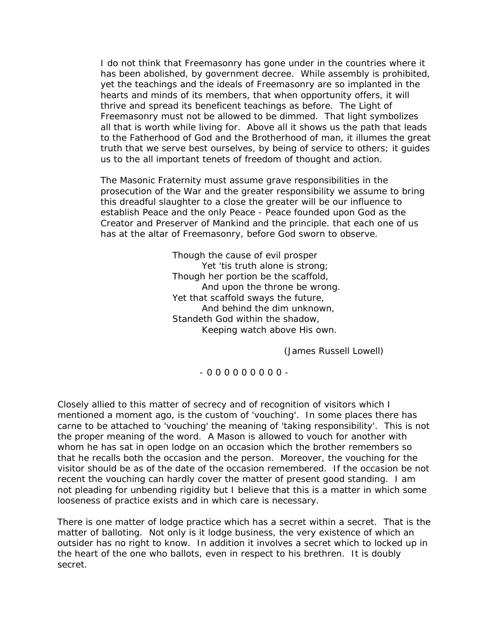I do not think that Freemasonry has gone under in the countries where it has been abolished, by government decree. While assembly is prohibited, yet the teachings and the ideals of Freemasonry are so implanted in the hearts and minds of its members, that when opportunity offers, it will thrive and spread its beneficent teachings as before. The Light of Freemasonry must not be allowed to be dimmed. That light symbolizes all that is worth while living for. Above all it shows us the path that leads to the Fatherhood of God and the Brotherhood of man, it illumes the great truth that we serve best ourselves, by being of service to others; it guides us to the all important tenets of freedom of thought and action.

The Masonic Fraternity must assume grave responsibilities in the prosecution of the War and the greater responsibility we assume to bring this dreadful slaughter to a close the greater will be our influence to establish Peace and the only Peace - Peace founded upon God as the Creator and Preserver of Mankind and the principle. that each one of us has at the altar of Freemasonry, before God sworn to observe.

> Though the cause of evil prosper Yet 'tis truth alone is strong; Though her portion be the scaffold, And upon the throne be wrong. Yet that scaffold sways the future, And behind the dim unknown, Standeth God within the shadow, Keeping watch above His own.

> > (James Russell Lowell)

- 0 0 0 0 0 0 0 0 0 -

Closely allied to this matter of secrecy and of recognition of visitors which I mentioned a moment ago, is the custom of 'vouching'. In some places there has carne to be attached to 'vouching' the meaning of 'taking responsibility'. This is not the proper meaning of the word. A Mason is allowed to vouch for another with whom he has sat in open lodge on an occasion which the brother remembers so that he recalls both the occasion and the person. Moreover, the vouching for the visitor should be as of the date of the occasion remembered. If the occasion be not recent the vouching can hardly cover the matter of present good standing. I am not pleading for unbending rigidity but I believe that this is a matter in which some looseness of practice exists and in which care is necessary.

There is one matter of lodge practice which has a secret within a secret. That is the matter of balloting. Not only is it lodge business, the very existence of which an outsider has no right to know. In addition it involves a secret which to locked up in the heart of the one who ballots, even in respect to his brethren. It is doubly secret.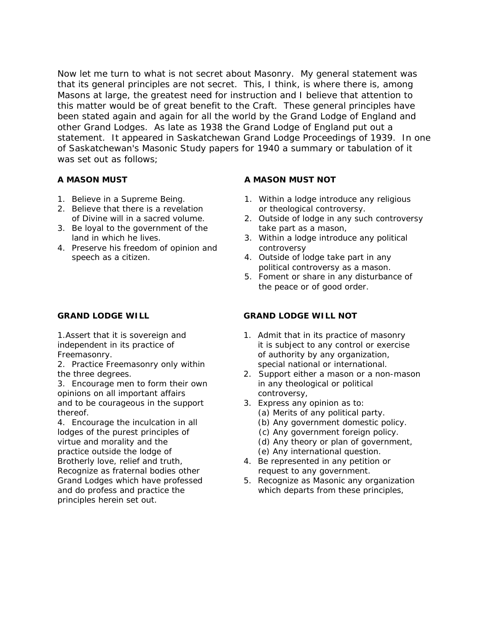Now let me turn to what is not secret about Masonry. My general statement was that its general principles are not secret. This, I think, is where there is, among Masons at large, the greatest need for instruction and I believe that attention to this matter would be of great benefit to the Craft. These general principles have been stated again and again for all the world by the Grand Lodge of England and other Grand Lodges. As late as 1938 the Grand Lodge of England put out a statement. It appeared in Saskatchewan Grand Lodge Proceedings of 1939. In one of Saskatchewan's Masonic Study papers for 1940 a summary or tabulation of it was set out as follows;

- 
- 2. Believe that there is a revelation or theological controversy.<br>of Divine will in a sacred volume. 2. Outside of lodge in any suc
- 3. Be loyal to the government of the take part as a mason,
- 4. Preserve his freedom of opinion and controversy speech as a citizen.  $\frac{1}{2}$  and  $\frac{1}{2}$  are  $\frac{1}{2}$  and  $\frac{1}{2}$  are  $\frac{1}{2}$  and  $\frac{1}{2}$  are  $\frac{1}{2}$  and  $\frac{1}{2}$  are  $\frac{1}{2}$  and  $\frac{1}{2}$  are  $\frac{1}{2}$  and  $\frac{1}{2}$  are  $\frac{1}{2}$  and  $\frac{1}{2}$  are  $\frac{1$

2. Practice Freemasonry only within special national or international.

3. Encourage men to form their own in any theological or political opinions on all important affairs example on the controversy, and to be courageous in the support 3. Express any opinion as to: thereof. **(a)** Merits of any political party.

4. Encourage the inculcation in all (b) Any government domestic policy. lodges of the purest principles of (c) Any government foreign policy. practice outside the lodge of  $\qquad \qquad$  (e) Any international question. Brotherly love, relief and truth, 4. Be represented in any petition or Recognize as fraternal bodies other request to any government. principles herein set out.

### **A MASON MUST A MASON MUST NOT**

- 1. Believe in a Supreme Being. 1. Within a lodge introduce any religious
	- 2. Outside of lodge in any such controversy
	- land in which he lives. 3. Within a lodge introduce any political
		- political controversy as a mason.
		- 5. Foment or share in any disturbance of the peace or of good order.

### **GRAND LODGE WILL GRAND LODGE WILL NOT**

- 1.Assert that it is sovereign and 1. Admit that in its practice of masonry independent in its practice of it is subject to any control or exercise Freemasonry. **Example 20** Freemasonry. **only any organization**,
- the three degrees. 2. Support either a mason or a non-mason
	- -
		-
- virtue and morality and the (d) Any theory or plan of government,
	-
	-
- Grand Lodges which have professed 5. Recognize as Masonic any organization and do profess and practice the which departs from these principles,